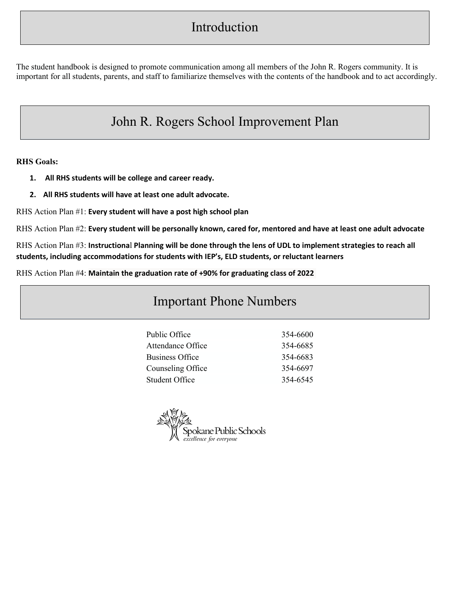# Introduction

The student handbook is designed to promote communication among all members of the John R. Rogers community. It is important for all students, parents, and staff to familiarize themselves with the contents of the handbook and to act accordingly.

# John R. Rogers School Improvement Plan

**RHS Goals:**

- **1. All RHS students will be college and career ready.**
- **2. All RHS students will have at least one adult advocate.**

RHS Action Plan #1: **Every student will have a post high school plan**

RHS Action Plan #2: Every student will be personally known, cared for, mentored and have at least one adult advocate

RHS Action Plan #3: Instructional Planning will be done through the lens of UDL to implement strategies to reach all **students, including accommodations for students with IEP's, ELD students, or reluctant learners**

RHS Action Plan #4: **Maintain the graduation rate of +90% for graduating class of 2022**

# Important Phone Numbers

| Public Office     | 354-6600 |
|-------------------|----------|
| Attendance Office | 354-6685 |
| Business Office   | 354-6683 |
| Counseling Office | 354-6697 |
| Student Office    | 354-6545 |

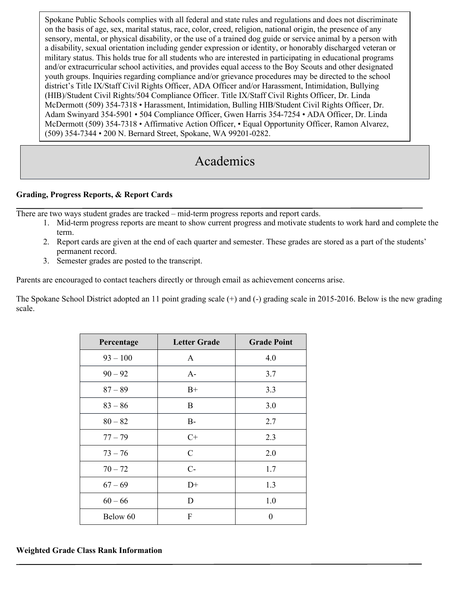Spokane Public Schools complies with all federal and state rules and regulations and does not discriminate on the basis of age, sex, marital status, race, color, creed, religion, national origin, the presence of any sensory, mental, or physical disability, or the use of a trained dog guide or service animal by a person with a disability, sexual orientation including gender expression or identity, or honorably discharged veteran or military status. This holds true for all students who are interested in participating in educational programs and/or extracurricular school activities, and provides equal access to the Boy Scouts and other designated youth groups. Inquiries regarding compliance and/or grievance procedures may be directed to the school district's Title IX/Staff Civil Rights Officer, ADA Officer and/or Harassment, Intimidation, Bullying (HIB)/Student Civil Rights/504 Compliance Officer. Title IX/Staff Civil Rights Officer, Dr. Linda McDermott (509) 354-7318 • Harassment, Intimidation, Bulling HIB/Student Civil Rights Officer, Dr. Adam Swinyard 354-5901 • 504 Compliance Officer, Gwen Harris 354-7254 • ADA Officer, Dr. Linda McDermott (509) 354-7318 • Affirmative Action Officer, • Equal Opportunity Officer, Ramon Alvarez, (509) 354-7344 • 200 N. Bernard Street, Spokane, WA 99201-0282.

# Academics

#### **Grading, Progress Reports, & Report Cards**

There are two ways student grades are tracked – mid-term progress reports and report cards.

- 1. Mid-term progress reports are meant to show current progress and motivate students to work hard and complete the term.
- 2. Report cards are given at the end of each quarter and semester. These grades are stored as a part of the students' permanent record.
- 3. Semester grades are posted to the transcript.

Parents are encouraged to contact teachers directly or through email as achievement concerns arise.

The Spokane School District adopted an 11 point grading scale (+) and (-) grading scale in 2015-2016. Below is the new grading scale.

| Percentage | <b>Letter Grade</b> | <b>Grade Point</b> |
|------------|---------------------|--------------------|
| $93 - 100$ | A                   | 4.0                |
| $90 - 92$  | $A-$                | 3.7                |
| $87 - 89$  | $B+$                | 3.3                |
| $83 - 86$  | B                   | 3.0                |
| $80 - 82$  | $B-$                | 2.7                |
| $77 - 79$  | $C+$                | 2.3                |
| $73 - 76$  | C                   | 2.0                |
| $70 - 72$  | $C-$                | 1.7                |
| $67 - 69$  | $D+$                | 1.3                |
| $60 - 66$  | D                   | 1.0                |
| Below 60   | F                   | 0                  |

## **Weighted Grade Class Rank Information**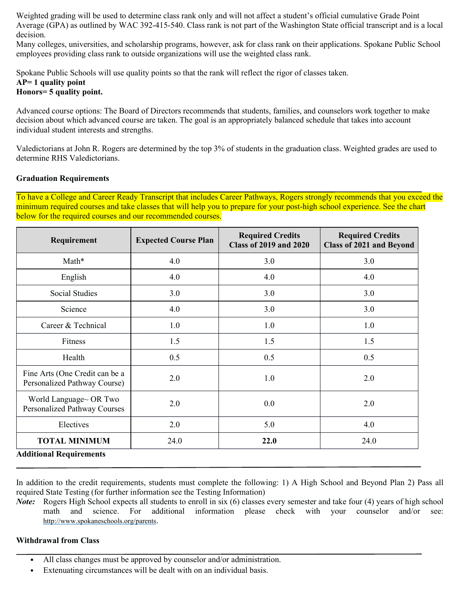Weighted grading will be used to determine class rank only and will not affect a student's official cumulative Grade Point Average (GPA) as outlined by WAC 392-415-540. Class rank is not part of the Washington State official transcript and is a local decision.

Many colleges, universities, and scholarship programs, however, ask for class rank on their applications. Spokane Public School employees providing class rank to outside organizations will use the weighted class rank.

Spokane Public Schools will use quality points so that the rank will reflect the rigor of classes taken.

# **AP= 1 quality point**

# **Honors= 5 quality point.**

Advanced course options: The Board of Directors recommends that students, families, and counselors work together to make decision about which advanced course are taken. The goal is an appropriately balanced schedule that takes into account individual student interests and strengths.

Valedictorians at John R. Rogers are determined by the top 3% of students in the graduation class. Weighted grades are used to determine RHS Valedictorians.

#### **Graduation Requirements**

To have a College and Career Ready Transcript that includes Career Pathways, Rogers strongly recommends that you exceed the minimum required courses and take classes that will help you to prepare for your post-high school experience. See the chart below for the required courses and our recommended courses.

| Requirement                                                                                 | <b>Expected Course Plan</b> | <b>Required Credits</b><br><b>Class of 2019 and 2020</b> | <b>Required Credits</b><br><b>Class of 2021 and Beyond</b> |
|---------------------------------------------------------------------------------------------|-----------------------------|----------------------------------------------------------|------------------------------------------------------------|
| Math*                                                                                       | 4.0                         | 3.0                                                      | 3.0                                                        |
| English                                                                                     | 4.0                         | 4.0                                                      | 4.0                                                        |
| <b>Social Studies</b>                                                                       | 3.0                         | 3.0                                                      | 3.0                                                        |
| Science                                                                                     | 4.0                         | 3.0                                                      | 3.0                                                        |
| Career & Technical                                                                          | 1.0                         | 1.0                                                      | 1.0                                                        |
| Fitness                                                                                     | 1.5                         | 1.5                                                      | 1.5                                                        |
| Health                                                                                      | 0.5                         | 0.5                                                      | 0.5                                                        |
| Fine Arts (One Credit can be a<br>Personalized Pathway Course)                              | 2.0                         | 1.0                                                      | 2.0                                                        |
| World Language~ OR Two<br>Personalized Pathway Courses                                      | 2.0                         | 0.0                                                      | 2.0                                                        |
| Electives                                                                                   | 2.0                         | 5.0                                                      | 4.0                                                        |
| <b>TOTAL MINIMUM</b><br>$\mathbf{r}$ , $\mathbf{r}$ , $\mathbf{r}$ , $\mathbf{r}$<br>$\sim$ | 24.0                        | 22.0                                                     | 24.0                                                       |

**Additional Requirements**

In addition to the credit requirements, students must complete the following: 1) A High School and Beyond Plan 2) Pass all required State Testing (for further information see the Testing Information)

*Note*: Rogers High School expects all students to enroll in six (6) classes every semester and take four (4) years of high school math and science. For additional information please check with your counselor and/or see: [http://www.spokaneschools.org/parents.](http://www.spokaneschools.org/parents)

#### **Withdrawal from Class**

- All class changes must be approved by counselor and/or administration.
- Extenuating circumstances will be dealt with on an individual basis.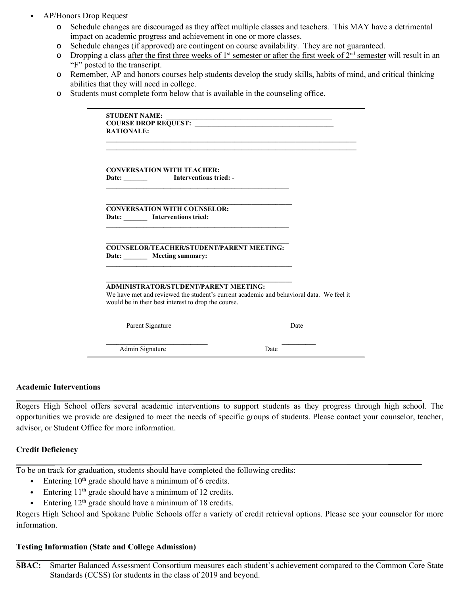- AP/Honors Drop Request
	- o Schedule changes are discouraged as they affect multiple classes and teachers. This MAY have a detrimental impact on academic progress and achievement in one or more classes.
	- o Schedule changes (if approved) are contingent on course availability. They are not guaranteed.
	- o Dropping a class after the first three weeks of 1<sup>st</sup> semester or after the first week of  $2^{nd}$  semester will result in an "F" posted to the transcript.
	- o Remember, AP and honors courses help students develop the study skills, habits of mind, and critical thinking abilities that they will need in college.
	- o Students must complete form below that is available in the counseling office.

| <b>STUDENT NAME:</b>                                                                                                         |                                                                                         |
|------------------------------------------------------------------------------------------------------------------------------|-----------------------------------------------------------------------------------------|
|                                                                                                                              |                                                                                         |
| <b>RATIONALE:</b>                                                                                                            |                                                                                         |
|                                                                                                                              |                                                                                         |
| <b>CONVERSATION WITH TEACHER:</b>                                                                                            |                                                                                         |
|                                                                                                                              |                                                                                         |
|                                                                                                                              |                                                                                         |
| <b>CONVERSATION WITH COUNSELOR:</b>                                                                                          |                                                                                         |
| Date: Interventions tried:                                                                                                   |                                                                                         |
|                                                                                                                              |                                                                                         |
|                                                                                                                              |                                                                                         |
|                                                                                                                              |                                                                                         |
|                                                                                                                              |                                                                                         |
|                                                                                                                              |                                                                                         |
| <b>COUNSELOR/TEACHER/STUDENT/PARENT MEETING:</b><br>Date: ________ Meeting summary:<br>ADMINISTRATOR/STUDENT/PARENT MEETING: |                                                                                         |
| would be in their best interest to drop the course.                                                                          | We have met and reviewed the student's current academic and behavioral data. We feel it |
| Parent Signature                                                                                                             | Date                                                                                    |

#### **Academic Interventions**

Rogers High School offers several academic interventions to support students as they progress through high school. The opportunities we provide are designed to meet the needs of specific groups of students. Please contact your counselor, teacher, advisor, or Student Office for more information.

#### **Credit Deficiency**

To be on track for graduation, students should have completed the following credits:

- Entering  $10<sup>th</sup>$  grade should have a minimum of 6 credits.
- Entering  $11<sup>th</sup>$  grade should have a minimum of 12 credits.
- Entering  $12<sup>th</sup>$  grade should have a minimum of 18 credits.

Rogers High School and Spokane Public Schools offer a variety of credit retrieval options. Please see your counselor for more information.

#### **Testing Information (State and College Admission)**

**SBAC:** Smarter Balanced Assessment Consortium measures each student's achievement compared to the Common Core State Standards (CCSS) for students in the class of 2019 and beyond.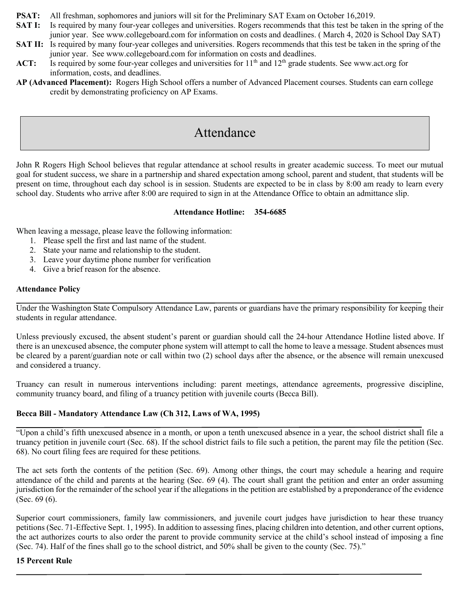- **PSAT:** All freshman, sophomores and juniors will sit for the Preliminary SAT Exam on October 16,2019.
- **SAT I:** Is required by many four-year colleges and universities. Rogers recommends that this test be taken in the spring of the junior year. See www.collegeboard.com for information on costs and deadlines. ( March 4, 2020 is School Day SAT)
- **SAT II:** Is required by many four-year colleges and universities. Rogers recommends that this test be taken in the spring of the junior year. See www.collegeboard.com for information on costs and deadlines.
- ACT: Is required by some four-year colleges and universities for 11<sup>th</sup> and 12<sup>th</sup> grade students. See www.act.org for information, costs, and deadlines.
- **AP (Advanced Placement):** Rogers High School offers a number of Advanced Placement courses. Students can earn college credit by demonstrating proficiency on AP Exams.

# Attendance

John R Rogers High School believes that regular attendance at school results in greater academic success. To meet our mutual goal for student success, we share in a partnership and shared expectation among school, parent and student, that students will be present on time, throughout each day school is in session. Students are expected to be in class by 8:00 am ready to learn every school day. Students who arrive after 8:00 are required to sign in at the Attendance Office to obtain an admittance slip.

#### **Attendance Hotline: 354-6685**

When leaving a message, please leave the following information:

- 1. Please spell the first and last name of the student.
- 2. State your name and relationship to the student.
- 3. Leave your daytime phone number for verification
- 4. Give a brief reason for the absence.

#### **Attendance Policy**

Under the Washington State Compulsory Attendance Law, parents or guardians have the primary responsibility for keeping their students in regular attendance.

Unless previously excused, the absent student's parent or guardian should call the 24-hour Attendance Hotline listed above. If there is an unexcused absence, the computer phone system will attempt to call the home to leave a message. Student absences must be cleared by a parent/guardian note or call within two (2) school days after the absence, or the absence will remain unexcused and considered a truancy.

Truancy can result in numerous interventions including: parent meetings, attendance agreements, progressive discipline, community truancy board, and filing of a truancy petition with juvenile courts (Becca Bill).

#### **Becca Bill - Mandatory Attendance Law (Ch 312, Laws of WA, 1995)**

"Upon a child's fifth unexcused absence in a month, or upon a tenth unexcused absence in a year, the school district shall file a truancy petition in juvenile court (Sec. 68). If the school district fails to file such a petition, the parent may file the petition (Sec. 68). No court filing fees are required for these petitions.

The act sets forth the contents of the petition (Sec. 69). Among other things, the court may schedule a hearing and require attendance of the child and parents at the hearing (Sec. 69 (4). The court shall grant the petition and enter an order assuming jurisdiction for the remainder of the school year if the allegations in the petition are established by a preponderance of the evidence (Sec. 69 (6).

Superior court commissioners, family law commissioners, and juvenile court judges have jurisdiction to hear these truancy petitions (Sec. 71-Effective Sept. 1, 1995). In addition to assessing fines, placing children into detention, and other current options, the act authorizes courts to also order the parent to provide community service at the child's school instead of imposing a fine (Sec. 74). Half of the fines shall go to the school district, and 50% shall be given to the county (Sec. 75)."

#### **15 Percent Rule**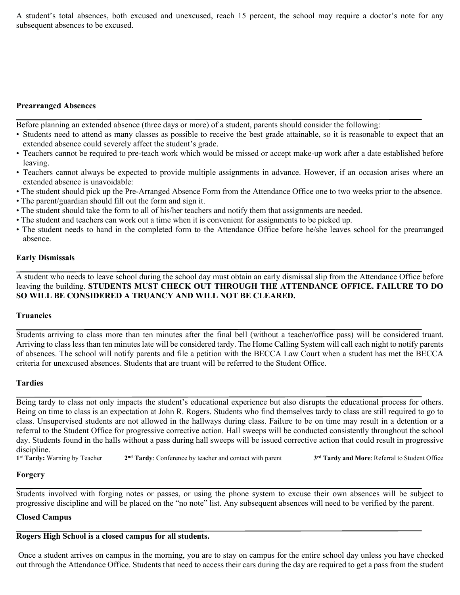A student's total absences, both excused and unexcused, reach 15 percent, the school may require a doctor's note for any subsequent absences to be excused.

#### **Prearranged Absences**

Before planning an extended absence (three days or more) of a student, parents should consider the following:

- Students need to attend as many classes as possible to receive the best grade attainable, so it is reasonable to expect that an extended absence could severely affect the student's grade.
- Teachers cannot be required to pre-teach work which would be missed or accept make-up work after a date established before leaving.
- Teachers cannot always be expected to provide multiple assignments in advance. However, if an occasion arises where an extended absence is unavoidable:
- The student should pick up the Pre-Arranged Absence Form from the Attendance Office one to two weeks prior to the absence.
- The parent/guardian should fill out the form and sign it.
- The student should take the form to all of his/her teachers and notify them that assignments are needed.
- The student and teachers can work out a time when it is convenient for assignments to be picked up.
- The student needs to hand in the completed form to the Attendance Office before he/she leaves school for the prearranged absence.

#### **Early Dismissals**

A student who needs to leave school during the school day must obtain an early dismissal slip from the Attendance Office before leaving the building. **STUDENTS MUST CHECK OUT THROUGH THE ATTENDANCE OFFICE. FAILURE TO DO SO WILL BE CONSIDERED A TRUANCY AND WILL NOT BE CLEARED.**

#### **Truancies**

Students arriving to class more than ten minutes after the final bell (without a teacher/office pass) will be considered truant. Arriving to class less than ten minutes late will be considered tardy. The Home Calling System will call each night to notify parents of absences. The school will notify parents and file a petition with the BECCA Law Court when a student has met the BECCA criteria for unexcused absences. Students that are truant will be referred to the Student Office.

#### **Tardies**

Being tardy to class not only impacts the student's educational experience but also disrupts the educational process for others. Being on time to class is an expectation at John R. Rogers. Students who find themselves tardy to class are still required to go to class. Unsupervised students are not allowed in the hallways during class. Failure to be on time may result in a detention or a referral to the Student Office for progressive corrective action. Hall sweeps will be conducted consistently throughout the school day. Students found in the halls without a pass during hall sweeps will be issued corrective action that could result in progressive discipline.<br>1<sup>st</sup> Tardy: Warning by Teacher

**1st Tardy:** Warning by Teacher **2nd Tardy**: Conference by teacher and contact with parent **3rd Tardy and More**: Referral to Student Office

## **Forgery**

Students involved with forging notes or passes, or using the phone system to excuse their own absences will be subject to progressive discipline and will be placed on the "no note" list. Any subsequent absences will need to be verified by the parent.

## **Closed Campus**

## **Rogers High School is a closed campus for all students.**

Once a student arrives on campus in the morning, you are to stay on campus for the entire school day unless you have checked out through the Attendance Office. Students that need to access their cars during the day are required to get a pass from the student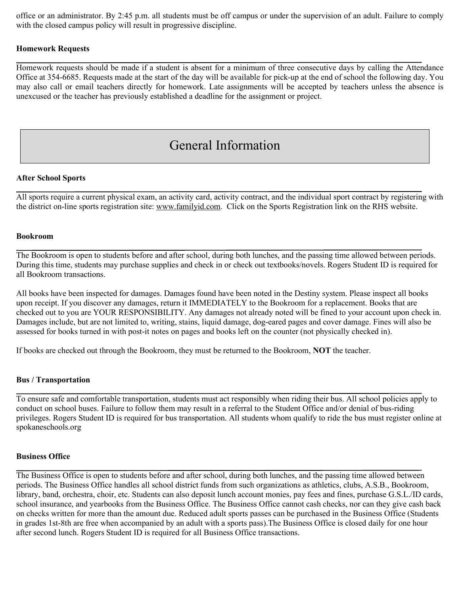office or an administrator. By 2:45 p.m. all students must be off campus or under the supervision of an adult. Failure to comply with the closed campus policy will result in progressive discipline.

#### **Homework Requests**

Homework requests should be made if a student is absent for a minimum of three consecutive days by calling the Attendance Office at 354-6685. Requests made at the start of the day will be available for pick-up at the end of school the following day. You may also call or email teachers directly for homework. Late assignments will be accepted by teachers unless the absence is unexcused or the teacher has previously established a deadline for the assignment or project.

# General Information

#### **After School Sports**

All sports require a current physical exam, an activity card, activity contract, and the individual sport contract by registering with the district on-line sports registration site: [www.familyid.com.](http://www.familyid.com/) Click on the Sports Registration link on the RHS website.

#### **Bookroom**

The Bookroom is open to students before and after school, during both lunches, and the passing time allowed between periods. During this time, students may purchase supplies and check in or check out textbooks/novels. Rogers Student ID is required for all Bookroom transactions.

All books have been inspected for damages. Damages found have been noted in the Destiny system. Please inspect all books upon receipt. If you discover any damages, return it IMMEDIATELY to the Bookroom for a replacement. Books that are checked out to you are YOUR RESPONSIBILITY. Any damages not already noted will be fined to your account upon check in. Damages include, but are not limited to, writing, stains, liquid damage, dog-eared pages and cover damage. Fines will also be assessed for books turned in with post-it notes on pages and books left on the counter (not physically checked in).

If books are checked out through the Bookroom, they must be returned to the Bookroom, **NOT** the teacher.

#### **Bus / Transportation**

To ensure safe and comfortable transportation, students must act responsibly when riding their bus. All school policies apply to conduct on school buses. Failure to follow them may result in a referral to the Student Office and/or denial of bus-riding privileges. Rogers Student ID is required for bus transportation. All students whom qualify to ride the bus must register online at spokaneschools.org

#### **Business Office**

The Business Office is open to students before and after school, during both lunches, and the passing time allowed between periods. The Business Office handles all school district funds from such organizations as athletics, clubs, A.S.B., Bookroom, library, band, orchestra, choir, etc. Students can also deposit lunch account monies, pay fees and fines, purchase G.S.L./ID cards, school insurance, and yearbooks from the Business Office. The Business Office cannot cash checks, nor can they give cash back on checks written for more than the amount due. Reduced adult sports passes can be purchased in the Business Office (Students in grades 1st-8th are free when accompanied by an adult with a sports pass).The Business Office is closed daily for one hour after second lunch. Rogers Student ID is required for all Business Office transactions.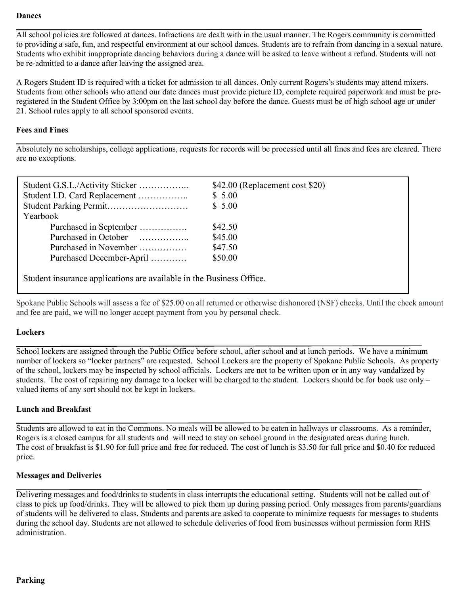#### **Dances**

All school policies are followed at dances. Infractions are dealt with in the usual manner. The Rogers community is committed to providing a safe, fun, and respectful environment at our school dances. Students are to refrain from dancing in a sexual nature. Students who exhibit inappropriate dancing behaviors during a dance will be asked to leave without a refund. Students will not be re-admitted to a dance after leaving the assigned area.

A Rogers Student ID is required with a ticket for admission to all dances. Only current Rogers's students may attend mixers. Students from other schools who attend our date dances must provide picture ID, complete required paperwork and must be preregistered in the Student Office by 3:00pm on the last school day before the dance. Guests must be of high school age or under 21. School rules apply to all school sponsored events.

#### **Fees and Fines**

Absolutely no scholarships, college applications, requests for records will be processed until all fines and fees are cleared. There are no exceptions.

| Student G.S.L./Activity Sticker<br>Student I.D. Card Replacement     | \$42.00 (Replacement cost \$20)<br>\$5.00 |  |
|----------------------------------------------------------------------|-------------------------------------------|--|
|                                                                      | \$5.00                                    |  |
|                                                                      |                                           |  |
| Yearbook                                                             |                                           |  |
| Purchased in September                                               | \$42.50                                   |  |
| Purchased in October                                                 | \$45.00                                   |  |
| Purchased in November                                                | \$47.50                                   |  |
| Purchased December-April                                             | \$50.00                                   |  |
| Student insurance applications are available in the Business Office. |                                           |  |

Spokane Public Schools will assess a fee of \$25.00 on all returned or otherwise dishonored (NSF) checks. Until the check amount and fee are paid, we will no longer accept payment from you by personal check.

#### **Lockers**

School lockers are assigned through the Public Office before school, after school and at lunch periods. We have a minimum number of lockers so "locker partners" are requested. School Lockers are the property of Spokane Public Schools. As property of the school, lockers may be inspected by school officials. Lockers are not to be written upon or in any way vandalized by students. The cost of repairing any damage to a locker will be charged to the student. Lockers should be for book use only – valued items of any sort should not be kept in lockers.

#### **Lunch and Breakfast**

Students are allowed to eat in the Commons. No meals will be allowed to be eaten in hallways or classrooms. As a reminder, Rogers is a closed campus for all students and will need to stay on school ground in the designated areas during lunch. The cost of breakfast is \$1.90 for full price and free for reduced. The cost of lunch is \$3.50 for full price and \$0.40 for reduced price.

#### **Messages and Deliveries**

Delivering messages and food/drinks to students in class interrupts the educational setting. Students will not be called out of class to pick up food/drinks. They will be allowed to pick them up during passing period. Only messages from parents/guardians of students will be delivered to class. Students and parents are asked to cooperate to minimize requests for messages to students during the school day. Students are not allowed to schedule deliveries of food from businesses without permission form RHS administration.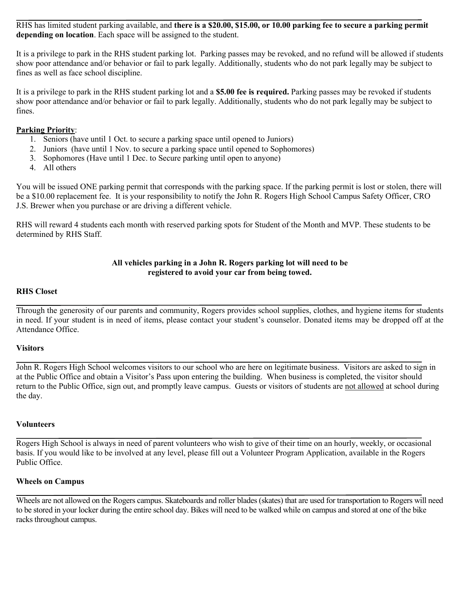RHS has limited student parking available, and **there is a \$20.00, \$15.00, or 10.00 parking fee to secure a parking permit depending on location**. Each space will be assigned to the student.

It is a privilege to park in the RHS student parking lot. Parking passes may be revoked, and no refund will be allowed if students show poor attendance and/or behavior or fail to park legally. Additionally, students who do not park legally may be subject to fines as well as face school discipline.

It is a privilege to park in the RHS student parking lot and a **\$5.00 fee is required.** Parking passes may be revoked if students show poor attendance and/or behavior or fail to park legally. Additionally, students who do not park legally may be subject to fines.

#### **Parking Priority**:

- 1. Seniors (have until 1 Oct. to secure a parking space until opened to Juniors)
- 2. Juniors (have until 1 Nov. to secure a parking space until opened to Sophomores)
- 3. Sophomores (Have until 1 Dec. to Secure parking until open to anyone)
- 4. All others

You will be issued ONE parking permit that corresponds with the parking space. If the parking permit is lost or stolen, there will be a \$10.00 replacement fee. It is your responsibility to notify the John R. Rogers High School Campus Safety Officer, CRO J.S. Brewer when you purchase or are driving a different vehicle.

RHS will reward 4 students each month with reserved parking spots for Student of the Month and MVP. These students to be determined by RHS Staff.

#### **All vehicles parking in a John R. Rogers parking lot will need to be registered to avoid your car from being towed.**

#### **RHS Closet**

Through the generosity of our parents and community, Rogers provides school supplies, clothes, and hygiene items for students in need. If your student is in need of items, please contact your student's counselor. Donated items may be dropped off at the Attendance Office.

#### **Visitors**

John R. Rogers High School welcomes visitors to our school who are here on legitimate business. Visitors are asked to sign in at the Public Office and obtain a Visitor's Pass upon entering the building. When business is completed, the visitor should return to the Public Office, sign out, and promptly leave campus. Guests or visitors of students are not allowed at school during the day.

#### **Volunteers**

Rogers High School is always in need of parent volunteers who wish to give of their time on an hourly, weekly, or occasional basis. If you would like to be involved at any level, please fill out a Volunteer Program Application, available in the Rogers Public Office.

#### **Wheels on Campus**

Wheels are not allowed on the Rogers campus. Skateboards and roller blades (skates) that are used for transportation to Rogers will need to be stored in your locker during the entire school day. Bikes will need to be walked while on campus and stored at one of the bike racks throughout campus.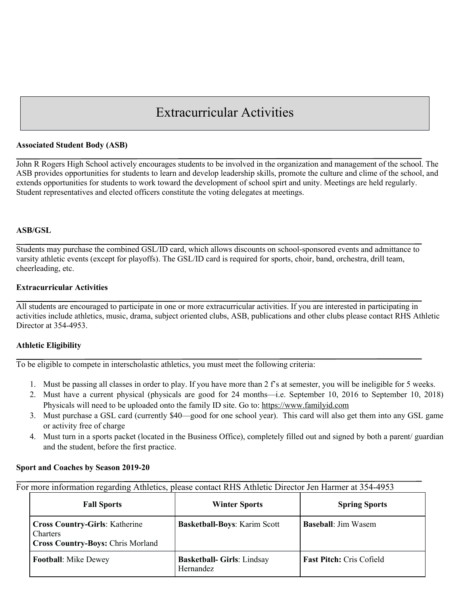# Extracurricular Activities

#### **Associated Student Body (ASB)**

John R Rogers High School actively encourages students to be involved in the organization and management of the school. The ASB provides opportunities for students to learn and develop leadership skills, promote the culture and clime of the school, and extends opportunities for students to work toward the development of school spirt and unity. Meetings are held regularly. Student representatives and elected officers constitute the voting delegates at meetings.

#### **ASB/GSL**

Students may purchase the combined GSL/ID card, which allows discounts on school-sponsored events and admittance to varsity athletic events (except for playoffs). The GSL/ID card is required for sports, choir, band, orchestra, drill team, cheerleading, etc.

#### **Extracurricular Activities**

All students are encouraged to participate in one or more extracurricular activities. If you are interested in participating in activities include athletics, music, drama, subject oriented clubs, ASB, publications and other clubs please contact RHS Athletic Director at 354-4953.

#### **Athletic Eligibility**

To be eligible to compete in interscholastic athletics, you must meet the following criteria:

- 1. Must be passing all classes in order to play. If you have more than 2 f's at semester, you will be ineligible for 5 weeks.
- 2. Must have a current physical (physicals are good for 24 months—i.e. September 10, 2016 to September 10, 2018) Physicals will need to be uploaded onto the family ID site. Go to: [https://www.familyid.com](https://www.familyid.com/)
- 3. Must purchase a GSL card (currently \$40—good for one school year). This card will also get them into any GSL game or activity free of charge
- 4. Must turn in a sports packet (located in the Business Office), completely filled out and signed by both a parent/ guardian and the student, before the first practice.

#### **Sport and Coaches by Season 2019-20**

For more information regarding Athletics, please contact RHS Athletic Director Jen Harmer at 354-4953

| <b>Fall Sports</b>                                                                            | <b>Winter Sports</b>                           | <b>Spring Sports</b>            |
|-----------------------------------------------------------------------------------------------|------------------------------------------------|---------------------------------|
| <b>Cross Country-Girls: Katherine</b><br>Charters<br><b>Cross Country-Boys: Chris Morland</b> | <b>Basketball-Boys: Karim Scott</b>            | <b>Baseball:</b> Jim Wasem      |
| <b>Football:</b> Mike Dewey                                                                   | <b>Basketball- Girls: Lindsay</b><br>Hernandez | <b>Fast Pitch: Cris Cofield</b> |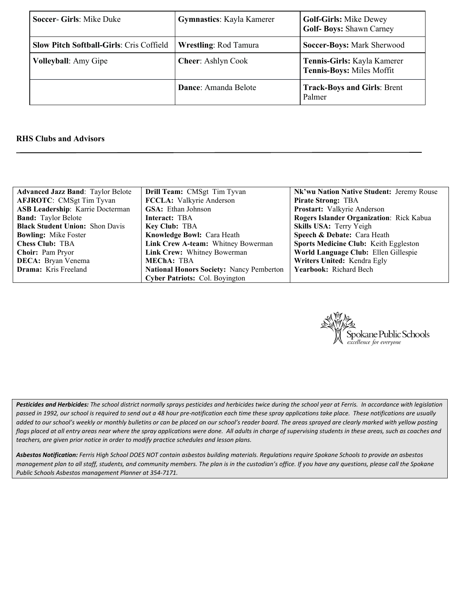| Soccer- Girls: Mike Duke                        | <b>Gymnastics:</b> Kayla Kamerer | <b>Golf-Girls: Mike Dewey</b><br>Golf-Boys: Shawn Carney |
|-------------------------------------------------|----------------------------------|----------------------------------------------------------|
| <b>Slow Pitch Softball-Girls: Cris Coffield</b> | <b>Wrestling: Rod Tamura</b>     | Soccer-Boys: Mark Sherwood                               |
| <b>Volleyball:</b> Amy Gipe                     | <b>Cheer: Ashlyn Cook</b>        | Tennis-Girls: Kayla Kamerer<br>Tennis-Boys: Miles Moffit |
|                                                 | Dance: Amanda Belote             | <b>Track-Boys and Girls: Brent</b><br>Palmer             |

#### **RHS Clubs and Advisors**

| <b>Advanced Jazz Band: Taylor Belote</b> | Drill Team: CMSgt Tim Tyvan                     | Nk'wu Nation Native Student: Jeremy Rouse    |
|------------------------------------------|-------------------------------------------------|----------------------------------------------|
| <b>AFJROTC:</b> CMSgt Tim Tyvan          | FCCLA: Valkyrie Anderson                        | <b>Pirate Strong: TBA</b>                    |
| ASB Leadership: Karrie Docterman         | <b>GSA</b> : Ethan Johnson                      | Prostart: Valkyrie Anderson                  |
| <b>Band:</b> Taylor Belote               | Interact: TBA                                   | Rogers Islander Organization: Rick Kabua     |
| <b>Black Student Union: Shon Davis</b>   | <b>Key Club: TBA</b>                            | Skills USA: Terry Yeigh                      |
| <b>Bowling:</b> Mike Foster              | Knowledge Bowl: Cara Heath                      | Speech & Debate: Cara Heath                  |
| <b>Chess Club: TBA</b>                   | Link Crew A-team: Whitney Bowerman              | <b>Sports Medicine Club: Keith Eggleston</b> |
| Choir: Pam Pryor                         | Link Crew: Whitney Bowerman                     | World Language Club: Ellen Gillespie         |
| <b>DECA:</b> Bryan Venema                | <b>MEChA: TBA</b>                               | Writers United: Kendra Egly                  |
| <b>Drama:</b> Kris Freeland              | <b>National Honors Society: Nancy Pemberton</b> | <b>Yearbook:</b> Richard Bech                |
|                                          | Cyber Patriots: Col. Boyington                  |                                              |



*Pesticides and Herbicides: The school district normally sprays pesticides and herbicides twice during the school year at Ferris. In accordance with legislation passed in 1992, our school is required to send out a 48 hour pre-notification each time these spray applications take place. These notifications are usually*  added to our school's weekly or monthly bulletins or can be placed on our school's reader board. The areas sprayed are clearly marked with yellow posting *flags placed at all entry areas near where the spray applications were done. All adults in charge of supervising students in these areas, such as coaches and teachers, are given prior notice in order to modify practice schedules and lesson plans.*

*Asbestos Notification: Ferris High School DOES NOT contain asbestos building materials. Regulations require Spokane Schools to provide an asbestos management plan to all staff, students, and community members. The plan is in the custodian's office. If you have any questions, please call the Spokane Public Schools Asbestos management Planner at 354-7171.*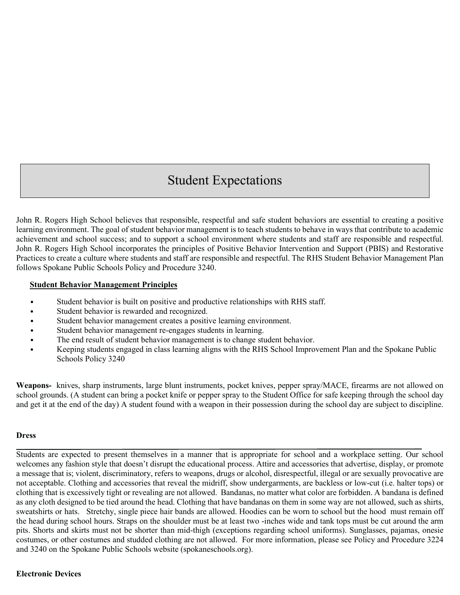# Student Expectations

John R. Rogers High School believes that responsible, respectful and safe student behaviors are essential to creating a positive learning environment. The goal of student behavior management is to teach students to behave in ways that contribute to academic achievement and school success; and to support a school environment where students and staff are responsible and respectful. John R. Rogers High School incorporates the principles of Positive Behavior Intervention and Support (PBIS) and Restorative Practices to create a culture where students and staff are responsible and respectful. The RHS Student Behavior Management Plan follows Spokane Public Schools Policy and Procedure 3240.

#### **Student Behavior Management Principles**

- Student behavior is built on positive and productive relationships with RHS staff.
- Student behavior is rewarded and recognized.
- Student behavior management creates a positive learning environment.
- Student behavior management re-engages students in learning.
- The end result of student behavior management is to change student behavior.
- Keeping students engaged in class learning aligns with the RHS School Improvement Plan and the Spokane Public Schools Policy 3240

**Weapons-** knives, sharp instruments, large blunt instruments, pocket knives, pepper spray/MACE, firearms are not allowed on school grounds. (A student can bring a pocket knife or pepper spray to the Student Office for safe keeping through the school day and get it at the end of the day) A student found with a weapon in their possession during the school day are subject to discipline.

#### **Dress**

Students are expected to present themselves in a manner that is appropriate for school and a workplace setting. Our school welcomes any fashion style that doesn't disrupt the educational process. Attire and accessories that advertise, display, or promote a message that is; violent, discriminatory, refers to weapons, drugs or alcohol, disrespectful, illegal or are sexually provocative are not acceptable. Clothing and accessories that reveal the midriff, show undergarments, are backless or low-cut (i.e. halter tops) or clothing that is excessively tight or revealing are not allowed. Bandanas, no matter what color are forbidden. A bandana is defined as any cloth designed to be tied around the head. Clothing that have bandanas on them in some way are not allowed, such as shirts, sweatshirts or hats. Stretchy, single piece hair bands are allowed. Hoodies can be worn to school but the hood must remain off the head during school hours. Straps on the shoulder must be at least two -inches wide and tank tops must be cut around the arm pits. Shorts and skirts must not be shorter than mid-thigh (exceptions regarding school uniforms). Sunglasses, pajamas, onesie costumes, or other costumes and studded clothing are not allowed. For more information, please see Policy and Procedure 3224 and 3240 on the Spokane Public Schools website (spokaneschools.org).

#### **Electronic Devices**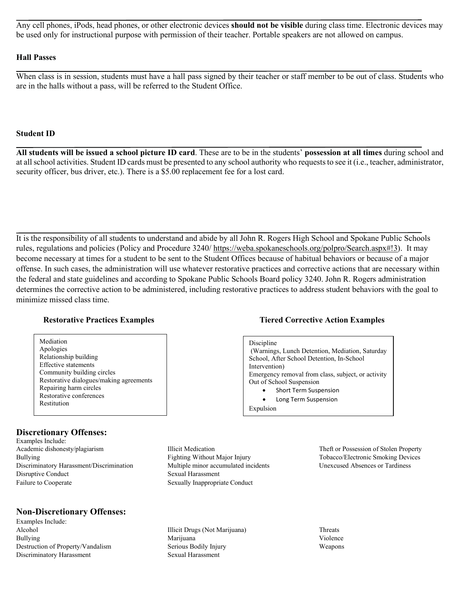Any cell phones, iPods, head phones, or other electronic devices **should not be visible** during class time. Electronic devices may be used only for instructional purpose with permission of their teacher. Portable speakers are not allowed on campus.

#### **Hall Passes**

When class is in session, students must have a hall pass signed by their teacher or staff member to be out of class. Students who are in the halls without a pass, will be referred to the Student Office.

#### **Student ID**

**All students will be issued a school picture ID card**. These are to be in the students' **possession at all times** during school and at all school activities. Student ID cards must be presented to any school authority who requests to see it (i.e., teacher, administrator, security officer, bus driver, etc.). There is a \$5.00 replacement fee for a lost card.

It is the responsibility of all students to understand and abide by all John R. Rogers High School and Spokane Public Schools rules, regulations and policies (Policy and Procedure 3240/ [https://weba.spokaneschools.org/polpro/Search.aspx#!3\)](https://weba.spokaneschools.org/polpro/Search.aspx#!3). It may become necessary at times for a student to be sent to the Student Offices because of habitual behaviors or because of a major offense. In such cases, the administration will use whatever restorative practices and corrective actions that are necessary within the federal and state guidelines and according to Spokane Public Schools Board policy 3240. John R. Rogers administration determines the corrective action to be administered, including restorative practices to address student behaviors with the goal to minimize missed class time.

#### **Restorative Practices Examples Tiered Corrective Action Examples**

Mediation Apologies Relationship building Effective statements Community building circles Restorative dialogues/making agreements Repairing harm circles Restorative conferences Restitution

#### **Discretionary Offenses:**

Examples Include: Academic dishonesty/plagiarism Bullying Discriminatory Harassment/Discrimination Disruptive Conduct Failure to Cooperate

#### **Non-Discretionary Offenses:**

Examples Include: Alcohol Bullying Destruction of Property/Vandalism Discriminatory Harassment

 (Warnings, Lunch Detention, Mediation, Saturday School, After School Detention, In-School Intervention)

Emergency removal from class, subject, or activity Out of School Suspension

- Short Term Suspension
- Long Term Suspension

Expulsion

Discipline

Illicit Medication Fighting Without Major Injury Multiple minor accumulated incidents Sexual Harassment Sexually Inappropriate Conduct

Illicit Drugs (Not Marijuana) Marijuana Serious Bodily Injury Sexual Harassment

Theft or Possession of Stolen Property Tobacco/Electronic Smoking Devices Unexcused Absences or Tardiness

**Threats** Violence Weapons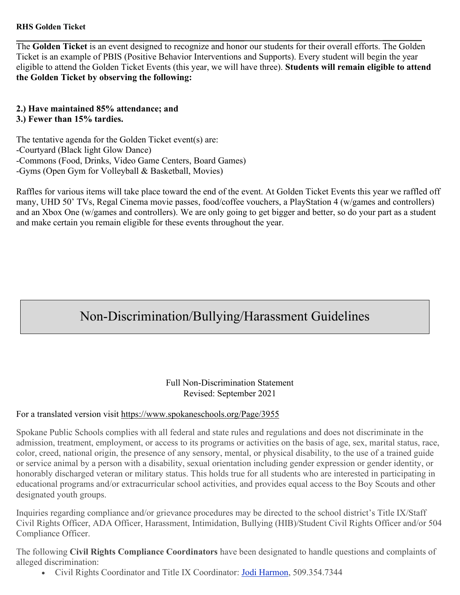### **RHS Golden Ticket**

The **Golden Ticket** is an event designed to recognize and honor our students for their overall efforts. The Golden Ticket is an example of PBIS (Positive Behavior Interventions and Supports). Every student will begin the year eligible to attend the Golden Ticket Events (this year, we will have three). **Students will remain eligible to attend the Golden Ticket by observing the following:** 

**2.) Have maintained 85% attendance; and 3.) Fewer than 15% tardies.**

The tentative agenda for the Golden Ticket event(s) are: -Courtyard (Black light Glow Dance) -Commons (Food, Drinks, Video Game Centers, Board Games) -Gyms (Open Gym for Volleyball & Basketball, Movies)

Raffles for various items will take place toward the end of the event. At Golden Ticket Events this year we raffled off many, UHD 50' TVs, Regal Cinema movie passes, food/coffee vouchers, a PlayStation 4 (w/games and controllers) and an Xbox One (w/games and controllers). We are only going to get bigger and better, so do your part as a student and make certain you remain eligible for these events throughout the year.

# Non-Discrimination/Bullying/Harassment Guidelines

#### Full Non-Discrimination Statement Revised: September 2021

## For a translated version visit <https://www.spokaneschools.org/Page/3955>

Spokane Public Schools complies with all federal and state rules and regulations and does not discriminate in the admission, treatment, employment, or access to its programs or activities on the basis of age, sex, marital status, race, color, creed, national origin, the presence of any sensory, mental, or physical disability, to the use of a trained guide or service animal by a person with a disability, sexual orientation including gender expression or gender identity, or honorably discharged veteran or military status. This holds true for all students who are interested in participating in educational programs and/or extracurricular school activities, and provides equal access to the Boy Scouts and other designated youth groups.

Inquiries regarding compliance and/or grievance procedures may be directed to the school district's Title IX/Staff Civil Rights Officer, ADA Officer, Harassment, Intimidation, Bullying (HIB)/Student Civil Rights Officer and/or 504 Compliance Officer.

The following **Civil Rights Compliance Coordinators** have been designated to handle questions and complaints of alleged discrimination:

• Civil Rights Coordinator and Title IX Coordinator: [Jodi Harmon,](mailto:JodiH@spokaneschools.org) 509.354.7344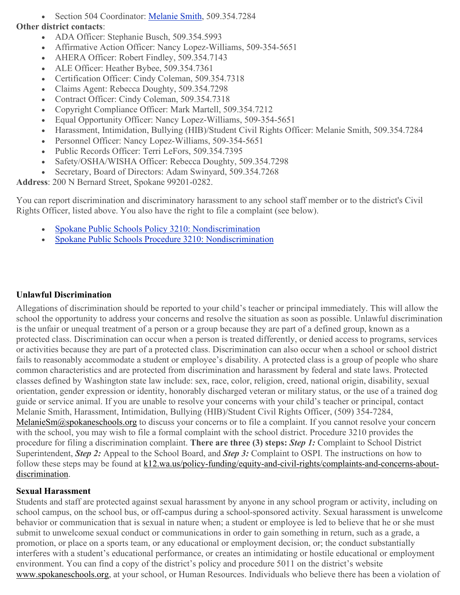• Section 504 Coordinator: [Melanie](mailto:MelanieSm@spokaneschools.org) Smith, 509.354.7284

# **Other district contacts**:

- ADA Officer: Stephanie Busch, 509.354.5993
- Affirmative Action Officer: Nancy Lopez-Williams, 509-354-5651
- AHERA Officer: Robert Findley, 509.354.7143
- ALE Officer: Heather Bybee, 509.354.7361
- Certification Officer: Cindy Coleman, 509.354.7318
- Claims Agent: Rebecca Doughty, 509.354.7298
- Contract Officer: Cindy Coleman, 509.354.7318
- Copyright Compliance Officer: Mark Martell, 509.354.7212
- Equal Opportunity Officer: Nancy Lopez-Williams, 509-354-5651
- Harassment, Intimidation, Bullying (HIB)/Student Civil Rights Officer: Melanie Smith, 509.354.7284
- Personnel Officer: Nancy Lopez-Williams, 509-354-5651
- Public Records Officer: Terri LeFors, 509.354.7395
- Safety/OSHA/WISHA Officer: Rebecca Doughty, 509.354.7298
- Secretary, Board of Directors: Adam Swinyard, 509.354.7268

**Address**: 200 N Bernard Street, Spokane 99201-0282.

You can report discrimination and discriminatory harassment to any school staff member or to the district's Civil Rights Officer, listed above. You also have the right to file a complaint (see below).

- Spokane Public Schools Policy 3210: [Nondiscrimination](https://weba.spokaneschools.org/polpro/View.aspx?id=619)
- Spokane Public Schools Procedure 3210: [Nondiscrimination](https://weba.spokaneschools.org/polpro/View.aspx?id=620)

# **Unlawful Discrimination**

Allegations of discrimination should be reported to your child's teacher or principal immediately. This will allow the school the opportunity to address your concerns and resolve the situation as soon as possible. Unlawful discrimination is the unfair or unequal treatment of a person or a group because they are part of a defined group, known as a protected class. Discrimination can occur when a person is treated differently, or denied access to programs, services or activities because they are part of a protected class. Discrimination can also occur when a school or school district fails to reasonably accommodate a student or employee's disability. A protected class is a group of people who share common characteristics and are protected from discrimination and harassment by federal and state laws. Protected classes defined by Washington state law include: sex, race, color, religion, creed, national origin, disability, sexual orientation, gender expression or identity, honorably discharged veteran or military status, or the use of a trained dog guide or service animal. If you are unable to resolve your concerns with your child's teacher or principal, contact Melanie Smith, Harassment, Intimidation, Bullying (HIB)/Student Civil Rights Officer, (509) 354-7284, [MelanieSm@spokaneschools.org](mailto:MelanieSm@spokaneschools.org) to discuss your concerns or to file a complaint. If you cannot resolve your concern with the school, you may wish to file a formal complaint with the school district. Procedure 3210 provides the procedure for filing a discrimination complaint. **There are three (3) steps:** *Step 1:* Complaint to School District Superintendent, *Step 2:* Appeal to the School Board, and *Step 3:* Complaint to OSPI. The instructions on how to follow these steps may be found at [k12.wa.us/policy-funding/equity-and-civil-rights/complaints-and-concerns-about](http://k12.wa.us/policy-funding/equity-and-civil-rights/complaints-and-concerns-about-discrimination)[discrimination.](http://k12.wa.us/policy-funding/equity-and-civil-rights/complaints-and-concerns-about-discrimination)

## **Sexual Harassment**

Students and staff are protected against sexual harassment by anyone in any school program or activity, including on school campus, on the school bus, or off-campus during a school-sponsored activity. Sexual harassment is unwelcome behavior or communication that is sexual in nature when; a student or employee is led to believe that he or she must submit to unwelcome sexual conduct or communications in order to gain something in return, such as a grade, a promotion, or place on a sports team, or any educational or employment decision, or; the conduct substantially interferes with a student's educational performance, or creates an intimidating or hostile educational or employment environment. You can find a copy of the district's policy and procedure 5011 on the district's website [www.spokaneschools.org,](http://www.spokaneschools.org/) at your school, or Human Resources. Individuals who believe there has been a violation of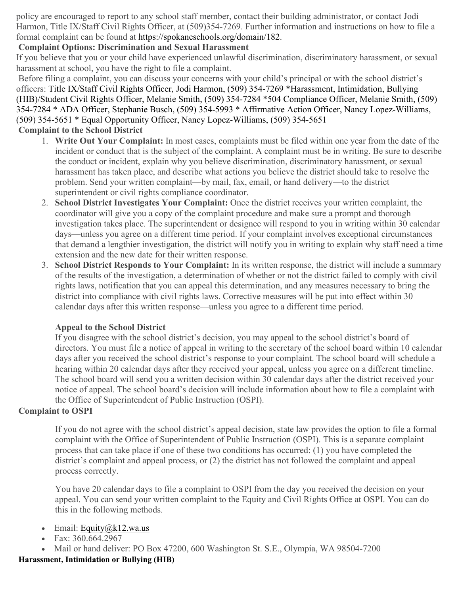policy are encouraged to report to any school staff member, contact their building administrator, or contact Jodi Harmon, Title IX/Staff Civil Rights Officer, at (509)354-7269. Further information and instructions on how to file a formal complaint can be found at [https://spokaneschools.org/domain/182.](https://spokaneschools.org/domain/182)

# **Complaint Options: Discrimination and Sexual Harassment**

If you believe that you or your child have experienced unlawful discrimination, discriminatory harassment, or sexual harassment at school, you have the right to file a complaint.

Before filing a complaint, you can discuss your concerns with your child's principal or with the school district's officers: Title IX/Staff Civil Rights Officer, Jodi Harmon, (509) 354-7269 \*Harassment, Intimidation, Bullying (HIB)/Student Civil Rights Officer, Melanie Smith, (509) 354-7284 \*504 Compliance Officer, Melanie Smith, (509) 354-7284 \* ADA Officer, Stephanie Busch, (509) 354-5993 \* Affirmative Action Officer, Nancy Lopez-Williams, (509) 354-5651 \* Equal Opportunity Officer, Nancy Lopez-Williams, (509) 354-5651

# **Complaint to the School District**

- 1. **Write Out Your Complaint:** In most cases, complaints must be filed within one year from the date of the incident or conduct that is the subject of the complaint. A complaint must be in writing. Be sure to describe the conduct or incident, explain why you believe discrimination, discriminatory harassment, or sexual harassment has taken place, and describe what actions you believe the district should take to resolve the problem. Send your written complaint—by mail, fax, email, or hand delivery—to the district superintendent or civil rights compliance coordinator.
- 2. **School District Investigates Your Complaint:** Once the district receives your written complaint, the coordinator will give you a copy of the complaint procedure and make sure a prompt and thorough investigation takes place. The superintendent or designee will respond to you in writing within 30 calendar days—unless you agree on a different time period. If your complaint involves exceptional circumstances that demand a lengthier investigation, the district will notify you in writing to explain why staff need a time extension and the new date for their written response.
- 3. **School District Responds to Your Complaint:** In its written response, the district will include a summary of the results of the investigation, a determination of whether or not the district failed to comply with civil rights laws, notification that you can appeal this determination, and any measures necessary to bring the district into compliance with civil rights laws. Corrective measures will be put into effect within 30 calendar days after this written response—unless you agree to a different time period.

## **Appeal to the School District**

If you disagree with the school district's decision, you may appeal to the school district's board of directors. You must file a notice of appeal in writing to the secretary of the school board within 10 calendar days after you received the school district's response to your complaint. The school board will schedule a hearing within 20 calendar days after they received your appeal, unless you agree on a different timeline. The school board will send you a written decision within 30 calendar days after the district received your notice of appeal. The school board's decision will include information about how to file a complaint with the Office of Superintendent of Public Instruction (OSPI).

## **Complaint to OSPI**

If you do not agree with the school district's appeal decision, state law provides the option to file a formal complaint with the Office of Superintendent of Public Instruction (OSPI). This is a separate complaint process that can take place if one of these two conditions has occurred: (1) you have completed the district's complaint and appeal process, or (2) the district has not followed the complaint and appeal process correctly.

You have 20 calendar days to file a complaint to OSPI from the day you received the decision on your appeal. You can send your written complaint to the Equity and Civil Rights Office at OSPI. You can do this in the following methods.

- Email: Equity $@k12$ .wa.us
- Fax: 360.664.2967
- Mail or hand deliver: PO Box 47200, 600 Washington St. S.E., Olympia, WA 98504-7200

## **Harassment, Intimidation or Bullying (HIB)**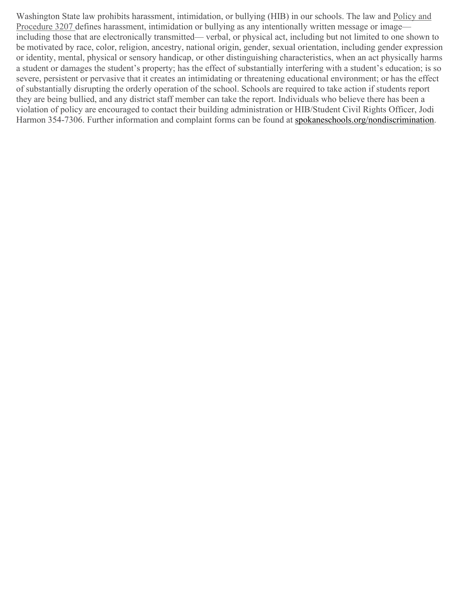Washington State law prohibits harassment, intimidation, or bullying (HIB) in our schools. The law and Policy and Procedure 3207 defines harassment, intimidation or bullying as any intentionally written message or image including those that are electronically transmitted— verbal, or physical act, including but not limited to one shown to be motivated by race, color, religion, ancestry, national origin, gender, sexual orientation, including gender expression or identity, mental, physical or sensory handicap, or other distinguishing characteristics, when an act physically harms a student or damages the student's property; has the effect of substantially interfering with a student's education; is so severe, persistent or pervasive that it creates an intimidating or threatening educational environment; or has the effect of substantially disrupting the orderly operation of the school. Schools are required to take action if students report they are being bullied, and any district staff member can take the report. Individuals who believe there has been a violation of policy are encouraged to contact their building administration or HIB/Student Civil Rights Officer, Jodi Harmon 354-7306. Further information and complaint forms can be found at [spokaneschools.org/nondiscrimination.](http://spokaneschools.org/nondiscrimination)